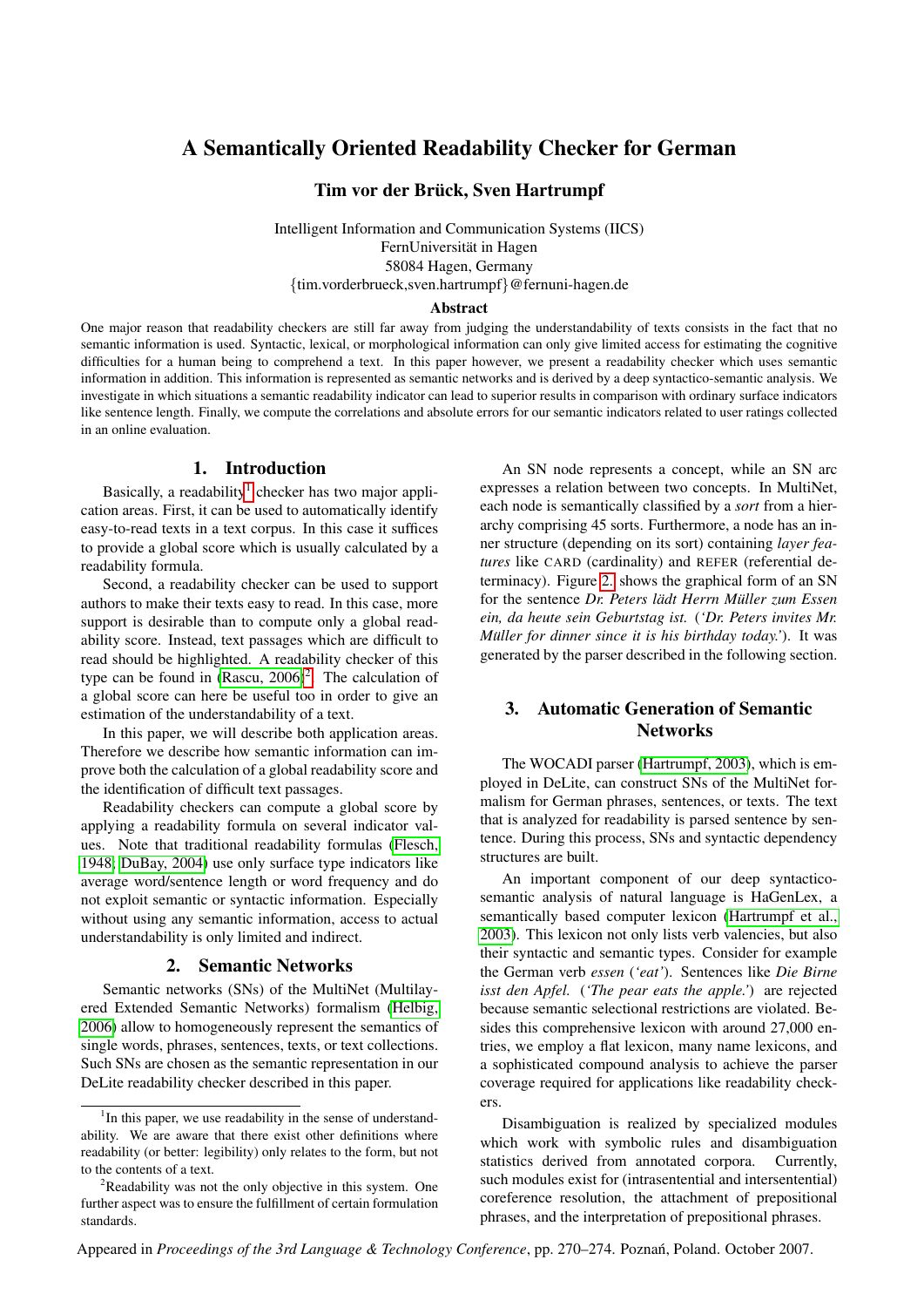# A Semantically Oriented Readability Checker for German

Tim vor der Brück, Sven Hartrumpf

Intelligent Information and Communication Systems (IICS) FernUniversität in Hagen 58084 Hagen, Germany {tim.vorderbrueck,sven.hartrumpf}@fernuni-hagen.de

#### Abstract

One major reason that readability checkers are still far away from judging the understandability of texts consists in the fact that no semantic information is used. Syntactic, lexical, or morphological information can only give limited access for estimating the cognitive difficulties for a human being to comprehend a text. In this paper however, we present a readability checker which uses semantic information in addition. This information is represented as semantic networks and is derived by a deep syntactico-semantic analysis. We investigate in which situations a semantic readability indicator can lead to superior results in comparison with ordinary surface indicators like sentence length. Finally, we compute the correlations and absolute errors for our semantic indicators related to user ratings collected in an online evaluation.

## 1. Introduction

Basically, a readability<sup>[1](#page-0-0)</sup> checker has two major application areas. First, it can be used to automatically identify easy-to-read texts in a text corpus. In this case it suffices to provide a global score which is usually calculated by a readability formula.

Second, a readability checker can be used to support authors to make their texts easy to read. In this case, more support is desirable than to compute only a global readability score. Instead, text passages which are difficult to read should be highlighted. A readability checker of this type can be found in  $(Rascu, 2006)^2$  $(Rascu, 2006)^2$  $(Rascu, 2006)^2$ . The calculation of a global score can here be useful too in order to give an estimation of the understandability of a text.

In this paper, we will describe both application areas. Therefore we describe how semantic information can improve both the calculation of a global readability score and the identification of difficult text passages.

Readability checkers can compute a global score by applying a readability formula on several indicator values. Note that traditional readability formulas [\(Flesch,](#page-4-1) [1948;](#page-4-1) [DuBay, 2004\)](#page-4-2) use only surface type indicators like average word/sentence length or word frequency and do not exploit semantic or syntactic information. Especially without using any semantic information, access to actual understandability is only limited and indirect.

### 2. Semantic Networks

<span id="page-0-2"></span>Semantic networks (SNs) of the MultiNet (Multilayered Extended Semantic Networks) formalism [\(Helbig,](#page-4-3) [2006\)](#page-4-3) allow to homogeneously represent the semantics of single words, phrases, sentences, texts, or text collections. Such SNs are chosen as the semantic representation in our DeLite readability checker described in this paper.

An SN node represents a concept, while an SN arc expresses a relation between two concepts. In MultiNet, each node is semantically classified by a *sort* from a hierarchy comprising 45 sorts. Furthermore, a node has an inner structure (depending on its sort) containing *layer features* like CARD (cardinality) and REFER (referential determinacy). Figure [2.](#page-0-2) shows the graphical form of an SN for the sentence *Dr. Peters lädt Herrn Müller zum Essen ein, da heute sein Geburtstag ist.* (*'Dr. Peters invites Mr. Müller for dinner since it is his birthday today.'*). It was generated by the parser described in the following section.

# 3. Automatic Generation of Semantic **Networks**

The WOCADI parser [\(Hartrumpf, 2003\)](#page-4-4), which is employed in DeLite, can construct SNs of the MultiNet formalism for German phrases, sentences, or texts. The text that is analyzed for readability is parsed sentence by sentence. During this process, SNs and syntactic dependency structures are built.

An important component of our deep syntacticosemantic analysis of natural language is HaGenLex, a semantically based computer lexicon [\(Hartrumpf et al.,](#page-4-5) [2003\)](#page-4-5). This lexicon not only lists verb valencies, but also their syntactic and semantic types. Consider for example the German verb *essen* (*'eat'*). Sentences like *Die Birne isst den Apfel.* (*'The pear eats the apple.'*) are rejected because semantic selectional restrictions are violated. Besides this comprehensive lexicon with around 27,000 entries, we employ a flat lexicon, many name lexicons, and a sophisticated compound analysis to achieve the parser coverage required for applications like readability checkers.

Disambiguation is realized by specialized modules which work with symbolic rules and disambiguation statistics derived from annotated corpora. Currently, such modules exist for (intrasentential and intersentential) coreference resolution, the attachment of prepositional phrases, and the interpretation of prepositional phrases.

<span id="page-0-0"></span><sup>&</sup>lt;sup>1</sup>In this paper, we use readability in the sense of understandability. We are aware that there exist other definitions where readability (or better: legibility) only relates to the form, but not to the contents of a text.

<span id="page-0-1"></span> $2R$ eadability was not the only objective in this system. One further aspect was to ensure the fulfillment of certain formulation standards.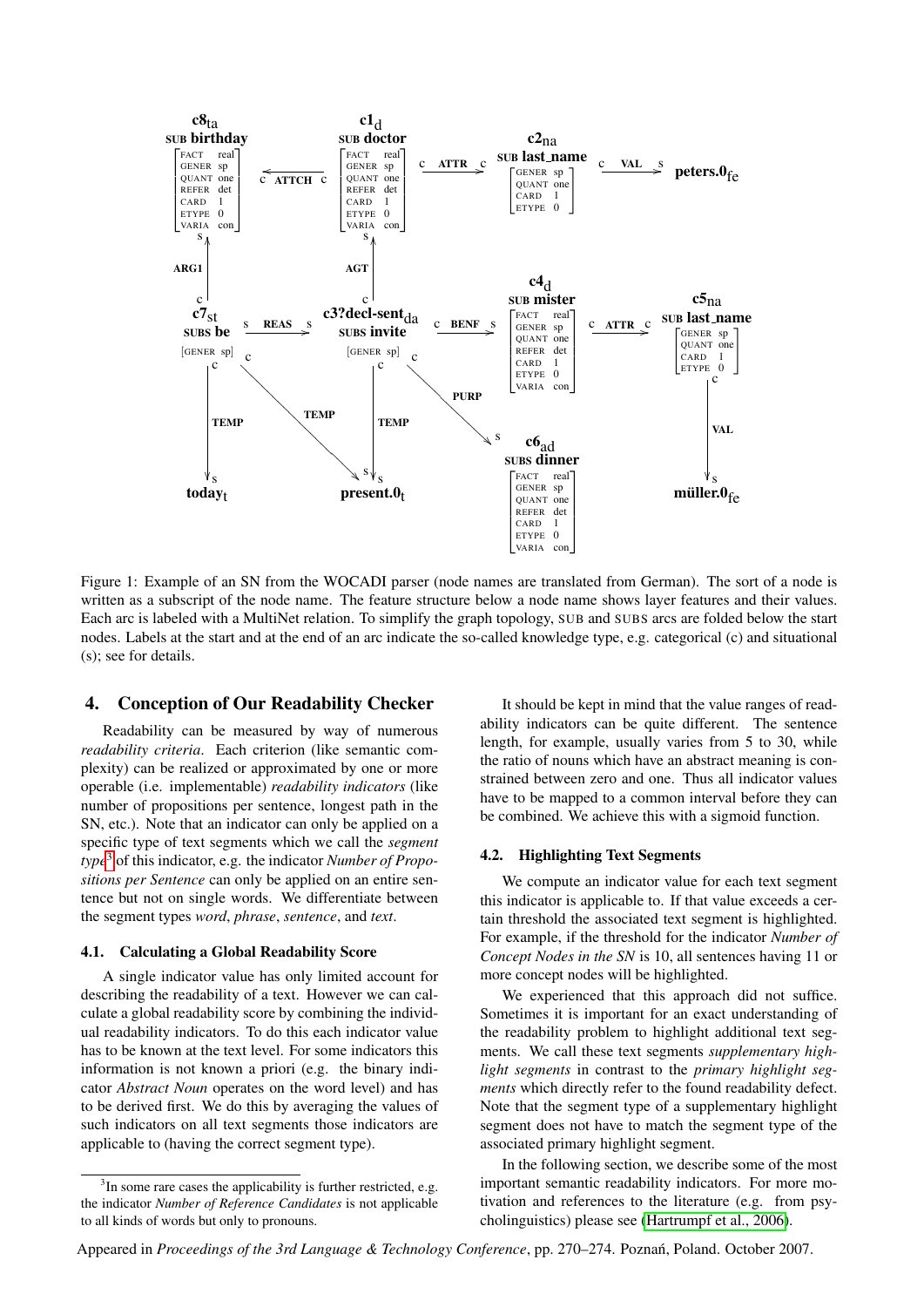

Figure 1: Example of an SN from the WOCADI parser (node names are translated from German). The sort of a node is written as a subscript of the node name. The feature structure below a node name shows layer features and their values. Each arc is labeled with a MultiNet relation. To simplify the graph topology, SUB and SUBS arcs are folded below the start nodes. Labels at the start and at the end of an arc indicate the so-called knowledge type, e.g. categorical (c) and situational (s); see for details.

#### 4. **Conception of Our Readability Checker**

Readability can be measured by way of numerous readability criteria. Each criterion (like semantic complexity) can be realized or approximated by one or more operable (i.e. implementable) readability indicators (like number of propositions per sentence, longest path in the SN, etc.). Note that an indicator can only be applied on a specific type of text segments which we call the segment  $type<sup>3</sup>$  of this indicator, e.g. the indicator Number of Propositions per Sentence can only be applied on an entire sentence but not on single words. We differentiate between the segment types word, phrase, sentence, and text.

#### 4.1. Calculating a Global Readability Score

A single indicator value has only limited account for describing the readability of a text. However we can calculate a global readability score by combining the individual readability indicators. To do this each indicator value has to be known at the text level. For some indicators this information is not known a priori (e.g. the binary indicator *Abstract Noun* operates on the word level) and has to be derived first. We do this by averaging the values of such indicators on all text segments those indicators are applicable to (having the correct segment type).

It should be kept in mind that the value ranges of readability indicators can be quite different. The sentence length, for example, usually varies from 5 to 30, while the ratio of nouns which have an abstract meaning is constrained between zero and one. Thus all indicator values have to be mapped to a common interval before they can be combined. We achieve this with a sigmoid function.

#### 4.2. Highlighting Text Segments

We compute an indicator value for each text segment this indicator is applicable to. If that value exceeds a certain threshold the associated text segment is highlighted. For example, if the threshold for the indicator Number of Concept Nodes in the SN is 10, all sentences having 11 or more concept nodes will be highlighted.

We experienced that this approach did not suffice. Sometimes it is important for an exact understanding of the readability problem to highlight additional text segments. We call these text segments supplementary highlight segments in contrast to the primary highlight segments which directly refer to the found readability defect. Note that the segment type of a supplementary highlight segment does not have to match the segment type of the associated primary highlight segment.

In the following section, we describe some of the most important semantic readability indicators. For more motivation and references to the literature (e.g. from psycholinguistics) please see (Hartrumpf et al., 2006).

Appeared in Proceedings of the 3rd Language & Technology Conference, pp. 270–274. Poznań, Poland. October 2007.

<span id="page-1-0"></span> $3$ In some rare cases the applicability is further restricted, e.g. the indicator Number of Reference Candidates is not applicable to all kinds of words but only to pronouns.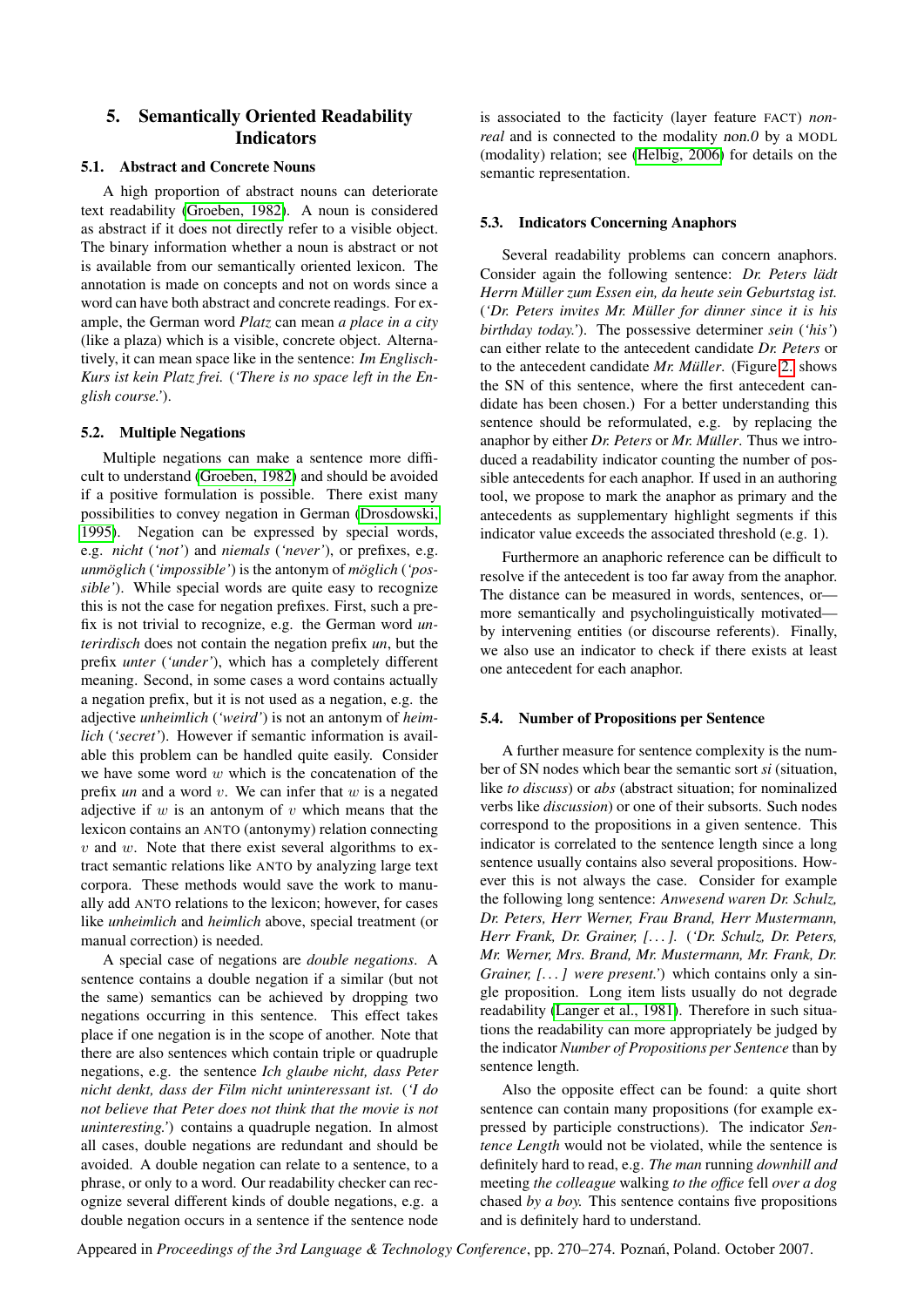# 5. Semantically Oriented Readability Indicators

## 5.1. Abstract and Concrete Nouns

A high proportion of abstract nouns can deteriorate text readability [\(Groeben, 1982\)](#page-4-7). A noun is considered as abstract if it does not directly refer to a visible object. The binary information whether a noun is abstract or not is available from our semantically oriented lexicon. The annotation is made on concepts and not on words since a word can have both abstract and concrete readings. For example, the German word *Platz* can mean *a place in a city* (like a plaza) which is a visible, concrete object. Alternatively, it can mean space like in the sentence: *Im Englisch-Kurs ist kein Platz frei.* (*'There is no space left in the English course.'*).

#### <span id="page-2-0"></span>5.2. Multiple Negations

Multiple negations can make a sentence more difficult to understand [\(Groeben, 1982\)](#page-4-7) and should be avoided if a positive formulation is possible. There exist many possibilities to convey negation in German [\(Drosdowski,](#page-4-8) [1995\)](#page-4-8). Negation can be expressed by special words, e.g. *nicht* (*'not'*) and *niemals* (*'never'*), or prefixes, e.g. *unmöglich ('impossible')* is the antonym of *möglich ('possible'*). While special words are quite easy to recognize this is not the case for negation prefixes. First, such a prefix is not trivial to recognize, e.g. the German word *unterirdisch* does not contain the negation prefix *un*, but the prefix *unter* (*'under'*), which has a completely different meaning. Second, in some cases a word contains actually a negation prefix, but it is not used as a negation, e.g. the adjective *unheimlich* (*'weird'*) is not an antonym of *heimlich* (*'secret'*). However if semantic information is available this problem can be handled quite easily. Consider we have some word  $w$  which is the concatenation of the prefix *un* and a word  $v$ . We can infer that  $w$  is a negated adjective if  $w$  is an antonym of  $v$  which means that the lexicon contains an ANTO (antonymy) relation connecting  $v$  and  $w$ . Note that there exist several algorithms to extract semantic relations like ANTO by analyzing large text corpora. These methods would save the work to manually add ANTO relations to the lexicon; however, for cases like *unheimlich* and *heimlich* above, special treatment (or manual correction) is needed.

A special case of negations are *double negations*. A sentence contains a double negation if a similar (but not the same) semantics can be achieved by dropping two negations occurring in this sentence. This effect takes place if one negation is in the scope of another. Note that there are also sentences which contain triple or quadruple negations, e.g. the sentence *Ich glaube nicht, dass Peter nicht denkt, dass der Film nicht uninteressant ist.* (*'I do not believe that Peter does not think that the movie is not uninteresting.'*) contains a quadruple negation. In almost all cases, double negations are redundant and should be avoided. A double negation can relate to a sentence, to a phrase, or only to a word. Our readability checker can recognize several different kinds of double negations, e.g. a double negation occurs in a sentence if the sentence node

is associated to the facticity (layer feature FACT) *nonreal* and is connected to the modality non.0 by a MODL (modality) relation; see [\(Helbig, 2006\)](#page-4-3) for details on the semantic representation.

#### 5.3. Indicators Concerning Anaphors

Several readability problems can concern anaphors. Consider again the following sentence: *Dr. Peters lädt Herrn Muller zum Essen ein, da heute sein Geburtstag ist. ¨* ('Dr. Peters invites Mr. Müller for dinner since it is his *birthday today.'*). The possessive determiner *sein* (*'his'*) can either relate to the antecedent candidate *Dr. Peters* or to the antecedent candidate *Mr. Müller*. (Figure [2.](#page-0-2) shows the SN of this sentence, where the first antecedent candidate has been chosen.) For a better understanding this sentence should be reformulated, e.g. by replacing the anaphor by either *Dr. Peters* or *Mr. Müller*. Thus we introduced a readability indicator counting the number of possible antecedents for each anaphor. If used in an authoring tool, we propose to mark the anaphor as primary and the antecedents as supplementary highlight segments if this indicator value exceeds the associated threshold (e.g. 1).

Furthermore an anaphoric reference can be difficult to resolve if the antecedent is too far away from the anaphor. The distance can be measured in words, sentences, or more semantically and psycholinguistically motivated by intervening entities (or discourse referents). Finally, we also use an indicator to check if there exists at least one antecedent for each anaphor.

#### 5.4. Number of Propositions per Sentence

A further measure for sentence complexity is the number of SN nodes which bear the semantic sort *si* (situation, like *to discuss*) or *abs* (abstract situation; for nominalized verbs like *discussion*) or one of their subsorts. Such nodes correspond to the propositions in a given sentence. This indicator is correlated to the sentence length since a long sentence usually contains also several propositions. However this is not always the case. Consider for example the following long sentence: *Anwesend waren Dr. Schulz, Dr. Peters, Herr Werner, Frau Brand, Herr Mustermann, Herr Frank, Dr. Grainer, [. . . ].* (*'Dr. Schulz, Dr. Peters, Mr. Werner, Mrs. Brand, Mr. Mustermann, Mr. Frank, Dr. Grainer, [...] were present.'*) which contains only a single proposition. Long item lists usually do not degrade readability [\(Langer et al., 1981\)](#page-4-9). Therefore in such situations the readability can more appropriately be judged by the indicator *Number of Propositions per Sentence* than by sentence length.

Also the opposite effect can be found: a quite short sentence can contain many propositions (for example expressed by participle constructions). The indicator *Sentence Length* would not be violated, while the sentence is definitely hard to read, e.g. *The man* running *downhill and* meeting *the colleague* walking *to the office* fell *over a dog* chased *by a boy.* This sentence contains five propositions and is definitely hard to understand.

Appeared in *Proceedings of the 3rd Language & Technology Conference*, pp. 270–274. Poznan, Poland. October 2007. ´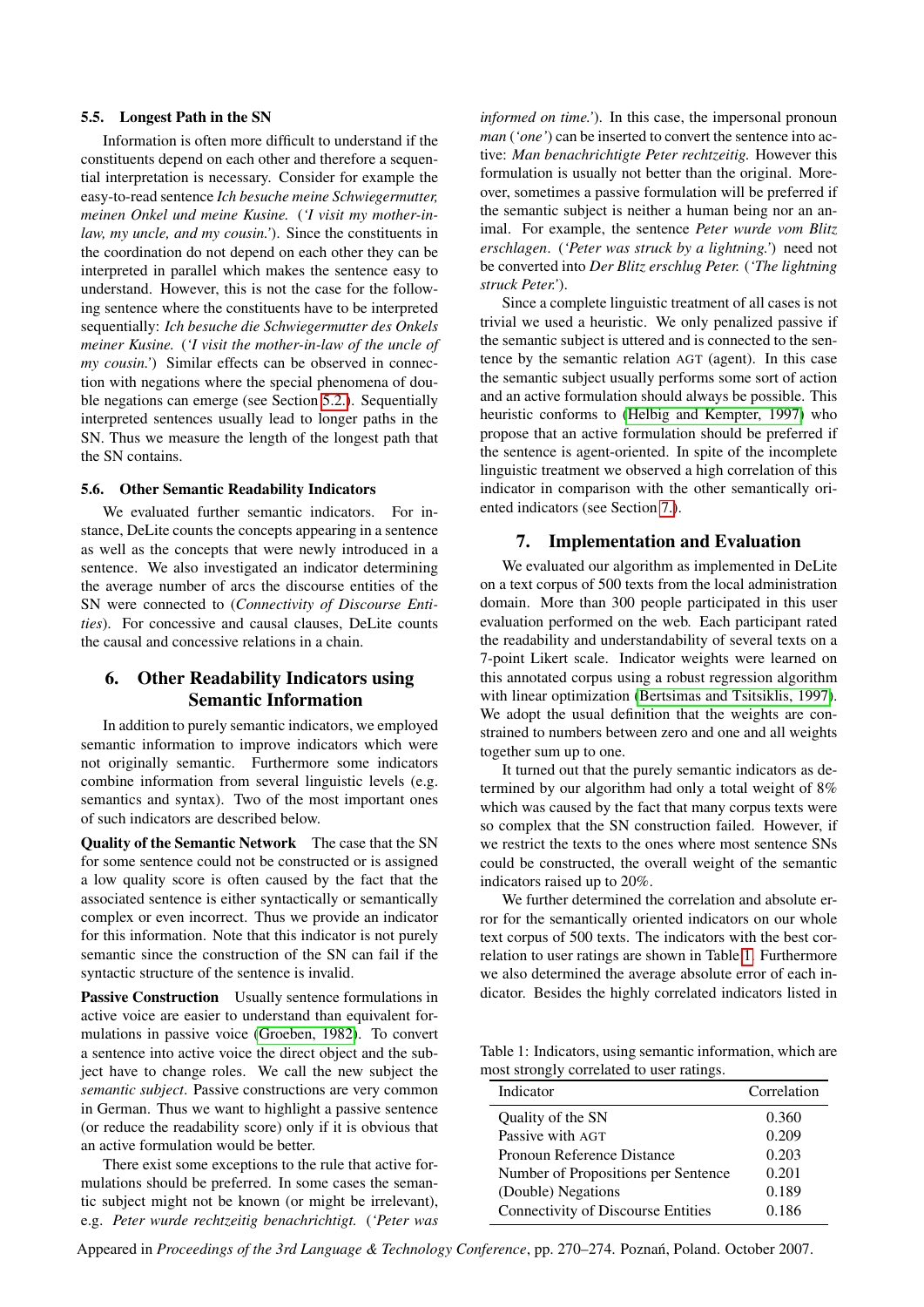#### 5.5. Longest Path in the SN

Information is often more difficult to understand if the constituents depend on each other and therefore a sequential interpretation is necessary. Consider for example the easy-to-read sentence *Ich besuche meine Schwiegermutter, meinen Onkel und meine Kusine.* (*'I visit my mother-inlaw, my uncle, and my cousin.'*). Since the constituents in the coordination do not depend on each other they can be interpreted in parallel which makes the sentence easy to understand. However, this is not the case for the following sentence where the constituents have to be interpreted sequentially: *Ich besuche die Schwiegermutter des Onkels meiner Kusine.* (*'I visit the mother-in-law of the uncle of my cousin.'*) Similar effects can be observed in connection with negations where the special phenomena of double negations can emerge (see Section [5.2.\)](#page-2-0). Sequentially interpreted sentences usually lead to longer paths in the SN. Thus we measure the length of the longest path that the SN contains.

#### 5.6. Other Semantic Readability Indicators

We evaluated further semantic indicators. For instance, DeLite counts the concepts appearing in a sentence as well as the concepts that were newly introduced in a sentence. We also investigated an indicator determining the average number of arcs the discourse entities of the SN were connected to (*Connectivity of Discourse Entities*). For concessive and causal clauses, DeLite counts the causal and concessive relations in a chain.

# 6. Other Readability Indicators using Semantic Information

In addition to purely semantic indicators, we employed semantic information to improve indicators which were not originally semantic. Furthermore some indicators combine information from several linguistic levels (e.g. semantics and syntax). Two of the most important ones of such indicators are described below.

Quality of the Semantic Network The case that the SN for some sentence could not be constructed or is assigned a low quality score is often caused by the fact that the associated sentence is either syntactically or semantically complex or even incorrect. Thus we provide an indicator for this information. Note that this indicator is not purely semantic since the construction of the SN can fail if the syntactic structure of the sentence is invalid.

Passive Construction Usually sentence formulations in active voice are easier to understand than equivalent formulations in passive voice [\(Groeben, 1982\)](#page-4-7). To convert a sentence into active voice the direct object and the subject have to change roles. We call the new subject the *semantic subject*. Passive constructions are very common in German. Thus we want to highlight a passive sentence (or reduce the readability score) only if it is obvious that an active formulation would be better.

There exist some exceptions to the rule that active formulations should be preferred. In some cases the semantic subject might not be known (or might be irrelevant), e.g. *Peter wurde rechtzeitig benachrichtigt.* (*'Peter was* *informed on time.'*). In this case, the impersonal pronoun *man* (*'one'*) can be inserted to convert the sentence into active: *Man benachrichtigte Peter rechtzeitig.* However this formulation is usually not better than the original. Moreover, sometimes a passive formulation will be preferred if the semantic subject is neither a human being nor an animal. For example, the sentence *Peter wurde vom Blitz erschlagen*. (*'Peter was struck by a lightning.'*) need not be converted into *Der Blitz erschlug Peter.* (*'The lightning struck Peter.'*).

Since a complete linguistic treatment of all cases is not trivial we used a heuristic. We only penalized passive if the semantic subject is uttered and is connected to the sentence by the semantic relation AGT (agent). In this case the semantic subject usually performs some sort of action and an active formulation should always be possible. This heuristic conforms to [\(Helbig and Kempter, 1997\)](#page-4-10) who propose that an active formulation should be preferred if the sentence is agent-oriented. In spite of the incomplete linguistic treatment we observed a high correlation of this indicator in comparison with the other semantically oriented indicators (see Section [7.\)](#page-3-0).

### 7. Implementation and Evaluation

<span id="page-3-0"></span>We evaluated our algorithm as implemented in DeLite on a text corpus of 500 texts from the local administration domain. More than 300 people participated in this user evaluation performed on the web. Each participant rated the readability and understandability of several texts on a 7-point Likert scale. Indicator weights were learned on this annotated corpus using a robust regression algorithm with linear optimization [\(Bertsimas and Tsitsiklis, 1997\)](#page-4-11). We adopt the usual definition that the weights are constrained to numbers between zero and one and all weights together sum up to one.

It turned out that the purely semantic indicators as determined by our algorithm had only a total weight of 8% which was caused by the fact that many corpus texts were so complex that the SN construction failed. However, if we restrict the texts to the ones where most sentence SNs could be constructed, the overall weight of the semantic indicators raised up to 20%.

We further determined the correlation and absolute error for the semantically oriented indicators on our whole text corpus of 500 texts. The indicators with the best correlation to user ratings are shown in Table [1.](#page-3-1) Furthermore we also determined the average absolute error of each indicator. Besides the highly correlated indicators listed in

<span id="page-3-1"></span>Table 1: Indicators, using semantic information, which are most strongly correlated to user ratings.

| Indicator                                 | Correlation |
|-------------------------------------------|-------------|
| Quality of the SN                         | 0.360       |
| Passive with AGT                          | 0.209       |
| Pronoun Reference Distance                | 0.203       |
| Number of Propositions per Sentence       | 0.201       |
| (Double) Negations                        | 0.189       |
| <b>Connectivity of Discourse Entities</b> | 0.186       |

Appeared in *Proceedings of the 3rd Language & Technology Conference*, pp. 270–274. Poznan, Poland. October 2007. ´